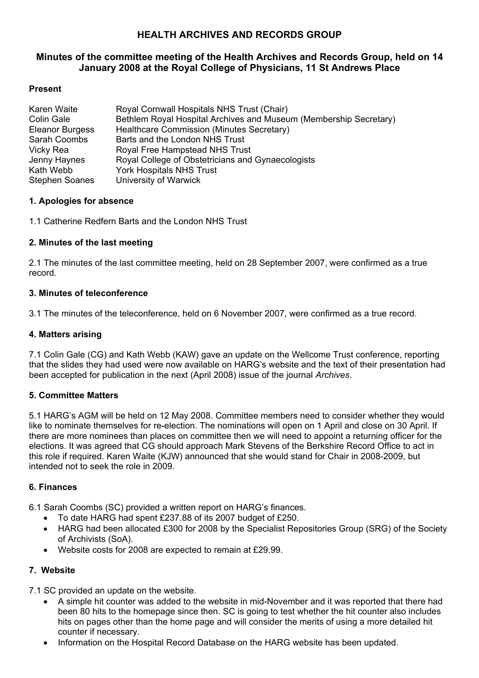# **HEALTH ARCHIVES AND RECORDS GROUP**

# **Minutes of the committee meeting of the Health Archives and Records Group, held on 14 January 2008 at the Royal College of Physicians, 11 St Andrews Place**

# **Present**

| Karen Waite           | Royal Cornwall Hospitals NHS Trust (Chair)                        |
|-----------------------|-------------------------------------------------------------------|
| Colin Gale            | Bethlem Royal Hospital Archives and Museum (Membership Secretary) |
| Eleanor Burgess       | Healthcare Commission (Minutes Secretary)                         |
| Sarah Coombs          | Barts and the London NHS Trust                                    |
| Vicky Rea             | Royal Free Hampstead NHS Trust                                    |
| Jenny Haynes          | Royal College of Obstetricians and Gynaecologists                 |
| Kath Webb             | <b>York Hospitals NHS Trust</b>                                   |
| <b>Stephen Soanes</b> | University of Warwick                                             |

### **1. Apologies for absence**

1.1 Catherine Redfern Barts and the London NHS Trust

### **2. Minutes of the last meeting**

2.1 The minutes of the last committee meeting, held on 28 September 2007, were confirmed as a true record.

### **3. Minutes of teleconference**

3.1 The minutes of the teleconference, held on 6 November 2007, were confirmed as a true record.

### **4. Matters arising**

7.1 Colin Gale (CG) and Kath Webb (KAW) gave an update on the Wellcome Trust conference, reporting that the slides they had used were now available on HARG's website and the text of their presentation had been accepted for publication in the next (April 2008) issue of the journal *Archives*.

### **5. Committee Matters**

5.1 HARG's AGM will be held on 12 May 2008. Committee members need to consider whether they would like to nominate themselves for re-election. The nominations will open on 1 April and close on 30 April. If there are more nominees than places on committee then we will need to appoint a returning officer for the elections. It was agreed that CG should approach Mark Stevens of the Berkshire Record Office to act in this role if required. Karen Waite (KJW) announced that she would stand for Chair in 2008-2009, but intended not to seek the role in 2009.

### **6. Finances**

6.1 Sarah Coombs (SC) provided a written report on HARG's finances.

- To date HARG had spent £237.88 of its 2007 budget of £250.
- HARG had been allocated £300 for 2008 by the Specialist Repositories Group (SRG) of the Society of Archivists (SoA).
- Website costs for 2008 are expected to remain at £29.99.

### **7. Website**

7.1 SC provided an update on the website.

- A simple hit counter was added to the website in mid-November and it was reported that there had been 80 hits to the homepage since then. SC is going to test whether the hit counter also includes hits on pages other than the home page and will consider the merits of using a more detailed hit counter if necessary.
- Information on the Hospital Record Database on the HARG website has been updated.